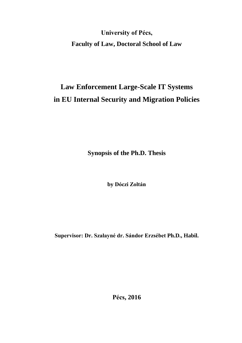**University of Pécs, Faculty of Law, Doctoral School of Law**

# **Law Enforcement Large-Scale IT Systems in EU Internal Security and Migration Policies**

**Synopsis of the Ph.D. Thesis**

**by Dóczi Zoltán** 

**Supervisor: Dr. Szalayné dr. Sándor Erzsébet Ph.D., Habil.**

**Pécs, 2016**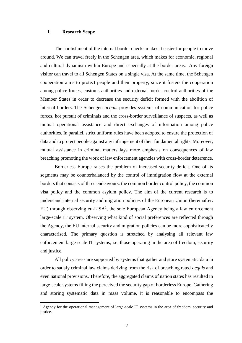## **I. Research Scope**

 $\overline{a}$ 

The abolishment of the internal border checks makes it easier for people to move around. We can travel freely in the Schengen area, which makes for economic, regional and cultural dynamism within Europe and especially at the border areas. Any foreign visitor can travel to all Schengen States on a single visa. At the same time, the Schengen cooperation aims to protect people and their property, since it fosters the cooperation among police forces, customs authorities and external border control authorities of the Member States in order to decrease the security deficit formed with the abolition of internal borders. The Schengen *acquis* provides systems of communication for police forces, hot pursuit of criminals and the cross-border surveillance of suspects, as well as mutual operational assistance and direct exchanges of information among police authorities. In parallel, strict uniform rules have been adopted to ensure the protection of data and to protect people against any infringement of their fundamental rights. Moreover, mutual assistance in criminal matters lays more emphasis on consequences of law breaching promoting the work of law enforcement agencies with cross-border deterrence.

Borderless Europe raises the problem of increased security deficit. One of its segments may be counterbalanced by the control of immigration flow at the external borders that consists of three endeavours: the common border control policy, the common visa policy and the common asylum policy. The aim of the current research is to understand internal security and migration policies of the European Union (hereinafter: EU) through observing eu-LISA<sup>1</sup>, the sole European Agency being a law enforcement large-scale IT system. Observing what kind of social preferences are reflected through the Agency, the EU internal security and migration policies can be more sophisticatedly characterised. The primary question is stretched by analysing all relevant law enforcement large-scale IT systems, i.e. those operating in the area of freedom, security and justice.

All policy areas are supported by systems that gather and store systematic data in order to satisfy criminal law claims deriving from the risk of breaching rated *acquis* and even national provisions. Therefore, the aggregated claims of nation states has resulted in large-scale systems filling the perceived the security gap of borderless Europe. Gathering and storing systematic data in mass volume, it is reasonable to encompass the

<sup>&</sup>lt;sup>1</sup> Agency for the operational management of large-scale IT systems in the area of freedom, security and justice.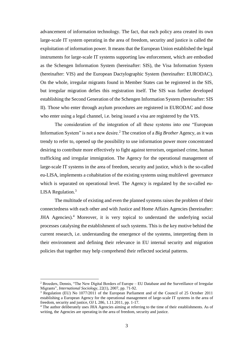advancement of information technology. The fact, that each policy area created its own large-scale IT system operating in the area of freedom, security and justice is called the exploitation of information power. It means that the European Union established the legal instruments for large-scale IT systems supporting law enforcement, which are embodied as the Schengen Information System (hereinafter: SIS), the Visa Information System (hereinafter: VIS) and the European Dactylographic System (hereinafter: EURODAC). On the whole, irregular migrants found in Member States can be registered in the SIS, but irregular migration defies this registration itself. The SIS was further developed establishing the Second Generation of the Schengen Information System (hereinafter: SIS II). Those who enter through asylum procedures are registered in EURODAC and those who enter using a legal channel, i.e. being issued a visa are registered by the VIS.

The consideration of the integration of all these systems into one "European Information System" is not a new desire.<sup>2</sup> The creation of a *Big Brother* Agency, as it was trendy to refer to, opened up the possibility to use information power more concentrated desiring to contribute more effectively to fight against terrorism, organised crime, human trafficking and irregular immigration. The Agency for the operational management of large-scale IT systems in the area of freedom, security and justice, which is the so-called eu-LISA, implements a cohabitation of the existing systems using multilevel governance which is separated on operational level. The Agency is regulated by the so-called eu-LISA Regulation. $3$ 

The multitude of existing and even the planned systems raises the problem of their connectedness with each other and with Justice and Home Affairs Agencies (hereinafter: JHA Agencies).<sup>4</sup> Moreover, it is very topical to understand the underlying social processes catalysing the establishment of such systems. This is the key motive behind the current research, i.e. understanding the emergence of the systems, interpreting them in their environment and defining their relevance in EU internal security and migration policies that together may help comprehend their reflected societal patterns.

<sup>2</sup> Broeders, Dennis, "The New Digital Borders of Europe – EU Database and the Surveillance of Irregular Migrants", *International Sociology*, 22(1), 2007, pp. 71-92.

<sup>3</sup> Regulation (EU) No 1077/2011 of the European Parliament and of the Council of 25 October 2011 establishing a European Agency for the operational management of large-scale IT systems in the area of freedom, security and justice, OJ L 286, 1.11.2011, pp. 1-17.

<sup>&</sup>lt;sup>4</sup> The author deliberately uses JHA Agencies aiming at referring to the time of their establishments. As of writing, the Agencies are operating in the area of freedom, security and justice.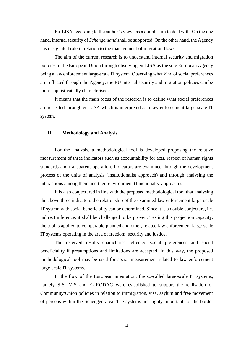Eu-LISA according to the author's view has a double aim to deal with. On the one hand, internal security of *Schengenland* shall be supported. On the other hand, the Agency has designated role in relation to the management of migration flows.

The aim of the current research is to understand internal security and migration policies of the European Union through observing eu-LISA as the sole European Agency being a law enforcement large-scale IT system. Observing what kind of social preferences are reflected through the Agency, the EU internal security and migration policies can be more sophisticatedly characterised.

It means that the main focus of the research is to define what social preferences are reflected through eu-LISA which is interpreted as a law enforcement large-scale IT system.

## **II. Methodology and Analysis**

For the analysis, a methodological tool is developed proposing the relative measurement of three indicators such as accountability for acts, respect of human rights standards and transparent operation. Indicators are examined through the development process of the units of analysis (institutionalist approach) and through analysing the interactions among them and their environment (functionalist approach).

It is also conjectured in line with the proposed methodological tool that analysing the above three indicators the relationship of the examined law enforcement large-scale IT system with social beneficiality can be determined. Since it is a double conjecture, i.e. indirect inference, it shall be challenged to be proven. Testing this projection capacity, the tool is applied to comparable planned and other, related law enforcement large-scale IT systems operating in the area of freedom, security and justice.

The received results characterise reflected social preferences and social beneficiality if presumptions and limitations are accepted. In this way, the proposed methodological tool may be used for social measurement related to law enforcement large-scale IT systems.

In the flow of the European integration, the so-called large-scale IT systems, namely SIS, VIS and EURODAC were established to support the realisation of Community/Union policies in relation to immigration, visa, asylum and free movement of persons within the Schengen area. The systems are highly important for the border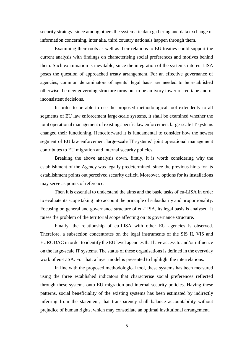security strategy, since among others the systematic data gathering and data exchange of information concerning, inter alia, third country nationals happen through them.

Examining their roots as well as their relations to EU treaties could support the current analysis with findings on characterising social preferences and motives behind them. Such examination is inevitable, since the integration of the systems into eu-LISA poses the question of approached treaty arrangement. For an effective governance of agencies, common denominators of agents' legal basis are needed to be established otherwise the new governing structure turns out to be an ivory tower of red tape and of inconsistent decisions.

In order to be able to use the proposed methodological tool extendedly to all segments of EU law enforcement large-scale systems, it shall be examined whether the joint operational management of existing specific law enforcement large-scale IT systems changed their functioning. Henceforward it is fundamental to consider how the newest segment of EU law enforcement large-scale IT systems' joint operational management contributes to EU migration and internal security policies.

Breaking the above analysis down, firstly, it is worth considering why the establishment of the Agency was legally predetermined, since the previous hints for its establishment points out perceived security deficit. Moreover, options for its installations may serve as points of reference.

Then it is essential to understand the aims and the basic tasks of eu-LISA in order to evaluate its scope taking into account the principle of subsidiarity and proportionality. Focusing on general and governance structure of eu-LISA, its legal basis is analysed. It raises the problem of the territorial scope affecting on its governance structure.

Finally, the relationship of eu-LISA with other EU agencies is observed. Therefore, a subsection concentrates on the legal instruments of the SIS II, VIS and EURODAC in order to identify the EU level agencies that have access to and/or influence on the large-scale IT systems. The status of these organisations is defined in the everyday work of eu-LISA. For that, a layer model is presented to highlight the interrelations.

In line with the proposed methodological tool, these systems has been measured using the three established indicators that characterise social preferences reflected through these systems onto EU migration and internal security policies. Having these patterns, social beneficiality of the existing systems has been estimated by indirectly inferring from the statement, that transparency shall balance accountability without prejudice of human rights, which may constellate an optimal institutional arrangement.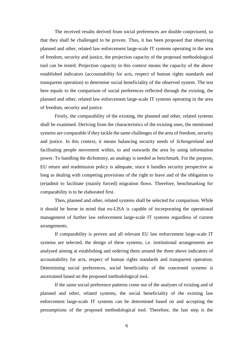The received results derived from social preferences are double conjectured, so that they shall be challenged to be proven. Thus, it has been proposed that observing planned and other, related law enforcement large-scale IT systems operating in the area of freedom, security and justice, the projection capacity of the proposed methodological tool can be tested. Projection capacity in this context means the capacity of the above established indicators (accountability for acts, respect of human rights standards and transparent operation) to determine social beneficiality of the observed system. The test here equals to the comparison of social preferences reflected through the existing, the planned and other, related law enforcement large-scale IT systems operating in the area of freedom, security and justice.

Firstly, the comparability of the existing, the planned and other, related systems shall be examined. Deriving from the characteristics of the existing ones, the mentioned systems are comparable if they tackle the same challenges of the area of freedom, security and justice. In this context, it means balancing security needs of *Schengenland* and facilitating people movement within, to and outwards the area by using information power. To handling the dichotomy, an analogy is needed as benchmark. For the purpose, EU return and readmission policy is adequate, since it handles security perspective as long as dealing with competing provisions of the right to leave and of the obligation to (re)admit to facilitate (mainly forced) migration flows. Therefore, benchmarking for comparability is to be elaborated first.

Then, planned and other, related systems shall be selected for comparison. While it should be borne in mind that eu-LISA is capable of incorporating the operational management of further law enforcement large-scale IT systems regardless of current arrangements.

If comparability is proven and all relevant EU law enforcement large-scale IT systems are selected, the design of these systems, i.e. institutional arrangements are analysed aiming at establishing and ordering them around the three above indicators of accountability for acts, respect of human rights standards and transparent operation. Determining social preferences, social beneficiality of the concerned systems is ascertained based on the proposed methodological tool.

If the same social preference patterns come out of the analyses of existing and of planned and other, related systems, the social beneficiality of the existing law enforcement large-scale IT systems can be determined based on and accepting the presumptions of the proposed methodological tool. Therefore, the last step is the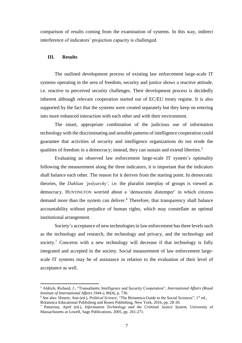comparison of results coming from the examination of systems. In this way, indirect interference of indicators' projection capacity is challenged.

## **III. Results**

 $\overline{a}$ 

The outlined development process of existing law enforcement large-scale IT systems operating in the area of freedom, security and justice shows a reactive attitude, i.e. reactive to perceived security challenges. Their development process is decidedly inherent although relevant cooperation started out of EC/EU treaty regime. It is also supported by the fact that the systems were created separately but they keep on entering into more enhanced interaction with each other and with their environment.

The smart, appropriate combination of the judicious use of information technology with the discriminating and sensible patterns of intelligence cooperation could guarantee that activities of security and intelligence organizations do not erode the qualities of freedom in a democracy; instead, they can sustain and extend liberties.<sup>5</sup>

Evaluating an observed law enforcement large-scale IT system's optimality following the measurement along the three indicators, it is important that the indicators shall balance each other. The reason for it derives from the starting point. In democratic theories, the *Dahlian 'polyarchy',* i.e. the pluralist interplay of groups is viewed as democracy. HUNTINGTON worried about a 'democratic distemper' in which citizens demand more than the system can deliver.<sup>6</sup> Therefore, that transparency shall balance accountability without prejudice of human rights, which may constellate an optimal institutional arrangement.

Society's acceptance of new technologies in law enforcement has three levels such as the technology and research, the technology and privacy, and the technology and society.<sup>7</sup> Concerns with a new technology will decrease if that technology is fully integrated and accepted in the society. Social measurement of law enforcement largescale IT systems may be of assistance in relation to the evaluation of their level of acceptance as well.

<sup>5</sup> Aldrich, Richard, J., "Transatlantic Intelligence and Security Cooperation", *International Affairs (Royal Institute of International Affairs 1944-),* 80(4), p. 736.

<sup>&</sup>lt;sup>6</sup> See also: Hosein, Ann (ed.), *Political Science*, "The Britannica Guide to the Social Sciences", 1<sup>st</sup> ed., Britannica Educational Publishing and Rosen Publishing, New York, 2016, pp. 28-30.

<sup>7</sup> Pattavina, April (ed.), *Information Technology and the Criminal Justice System,* University of Massachusetts at Lowell, Sage Publications, 2005, pp. 261-271.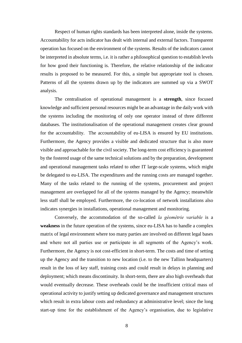Respect of human rights standards has been interpreted alone, inside the systems. Accountability for acts indicator has dealt with internal and external factors. Transparent operation has focused on the environment of the systems. Results of the indicators cannot be interpreted in absolute terms, i.e. it is rather a philosophical question to establish levels for how good their functioning is. Therefore, the relative relationship of the indicator results is proposed to be measured. For this, a simple but appropriate tool is chosen. Patterns of all the systems drawn up by the indicators are summed up via a SWOT analysis.

The centralisation of operational management is a **strength**, since focused knowledge and sufficient personal resources might be an advantage in the daily work with the systems including the monitoring of only one operator instead of three different databases. The institutionalisation of the operational management creates clear ground for the accountability. The accountability of eu-LISA is ensured by EU institutions. Furthermore, the Agency provides a visible and dedicated structure that is also more visible and approachable for the civil society. The long-term cost efficiency is guaranteed by the fostered usage of the same technical solutions and by the preparation, development and operational management tasks related to other IT large-scale systems, which might be delegated to eu-LISA. The expenditures and the running costs are managed together. Many of the tasks related to the running of the systems, procurement and project management are overlapped for all of the systems managed by the Agency; meanwhile less staff shall be employed. Furthermore, the co-location of network installations also indicates synergies in installations, operational management and monitoring.

Conversely, the accommodation of the so-called *la géométrie variable* is a **weakness** in the future operation of the systems, since eu-LISA has to handle a complex matrix of legal environment where too many parties are involved on different legal bases and where not all parties use or participate in all segments of the Agency's work. Furthermore, the Agency is not cost-efficient in short-term. The costs and time of setting up the Agency and the transition to new location (i.e. to the new Tallinn headquarters) result in the loss of key staff, training costs and could result in delays in planning and deployment; which means discontinuity. In short-term, there are also high overheads that would eventually decrease. These overheads could be the insufficient critical mass of operational activity to justify setting up dedicated governance and management structures which result in extra labour costs and redundancy at administrative level; since the long start-up time for the establishment of the Agency's organisation, due to legislative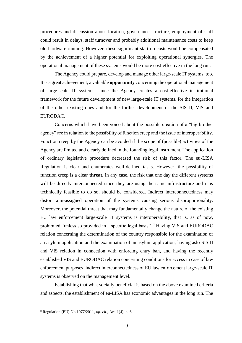procedures and discussion about location, governance structure, employment of staff could result in delays, staff turnover and probably additional maintenance costs to keep old hardware running. However, these significant start-up costs would be compensated by the achievement of a higher potential for exploiting operational synergies. The operational management of these systems would be more cost-effective in the long run.

The Agency could prepare, develop and manage other large-scale IT systems, too. It is a great achievement, a valuable **opportunity** concerning the operational management of large-scale IT systems, since the Agency creates a cost-effective institutional framework for the future development of new large-scale IT systems, for the integration of the other existing ones and for the further development of the SIS II, VIS and EURODAC.

Concerns which have been voiced about the possible creation of a "big brother agency" are in relation to the possibility of function creep and the issue of interoperability. Function creep by the Agency can be avoided if the scope of (possible) activities of the Agency are limited and clearly defined in the founding legal instrument. The application of ordinary legislative procedure decreased the risk of this factor. The eu-LISA Regulation is clear and enumerates well-defined tasks. However, the possibility of function creep is a clear **threat**. In any case, the risk that one day the different systems will be directly interconnected since they are using the same infrastructure and it is technically feasible to do so, should be considered. Indirect interconnectedness may distort aim-assigned operation of the systems causing serious disproportionality. Moreover, the potential threat that may fundamentally change the nature of the existing EU law enforcement large-scale IT systems is interoperability, that is, as of now, prohibited "unless so provided in a specific legal basis". <sup>8</sup> Having VIS and EURODAC relation concerning the determination of the country responsible for the examination of an asylum application and the examination of an asylum application, having aslo SIS II and VIS relation in connection with enforcing entry ban, and having the recently established VIS and EURODAC relation concerning conditions for access in case of law enforcement purposes, indirect interconnectedness of EU law enforcement large-scale IT systems is observed on the management level.

Establishing that what socially beneficial is based on the above examined criteria and aspects, the establishment of eu-LISA has economic advantages in the long run. The

<sup>8</sup> Regulation (EU) No 1077/2011, *op. cit.*, Art. 1(4), p. 6.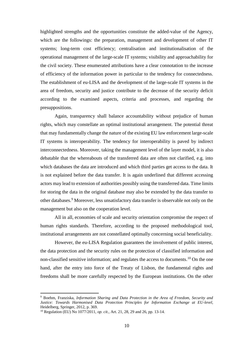highlighted strengths and the opportunities constitute the added-value of the Agency, which are the followings: the preparation, management and development of other IT systems; long-term cost efficiency; centralisation and institutionalisation of the operational management of the large-scale IT systems; visibility and approachability for the civil society. These enumerated attributions have a clear connotation to the increase of efficiency of the information power in particular to the tendency for connectedness. The establishment of eu-LISA and the development of the large-scale IT systems in the area of freedom, security and justice contribute to the decrease of the security deficit according to the examined aspects, criteria and processes, and regarding the presuppositions.

Again, transparency shall balance accountability without prejudice of human rights, which may constellate an optimal institutional arrangement. The potential threat that may fundamentally change the nature of the existing EU law enforcement large-scale IT systems is interoperability. The tendency for interoperability is paved by indirect interconnectedness. Moreover, taking the management level of the layer model, it is also debatable that the whereabouts of the transferred data are often not clarified, e.g. into which databases the data are introduced and which third parties get access to the data. It is not explained before the data transfer. It is again underlined that different accessing actors may lead to extension of authorities possibly using the transferred data. Time limits for storing the data in the original database may also be extended by the data transfer to other databases. <sup>9</sup> Moreover, less unsatisfactory data transfer is observable not only on the management but also on the cooperation level.

All in all, economies of scale and security orientation compromise the respect of human rights standards. Therefore, according to the proposed methodological tool, institutional arrangements are not constellated optimally concerning social beneficiality.

However, the eu-LISA Regulation guarantees the involvement of public interest, the data protection and the security rules on the protection of classified information and non-classified sensitive information; and regulates the access to documents.<sup>10</sup> On the one hand, after the entry into force of the Treaty of Lisbon, the fundamental rights and freedoms shall be more carefully respected by the European institutions. On the other

<sup>9</sup> Boehm, Franziska, *Information Sharing and Data Protection in the Area of Freedom, Security and Justice: Towards Harmonised Data Protection Principles for Information Exchange at EU-level,*  Heidelberg, Springer, 2012, p. 369.

<sup>10</sup> Regulation (EU) No 1077/2011, *op. cit.,* Art. 21, 28, 29 and 26, pp. 13-14.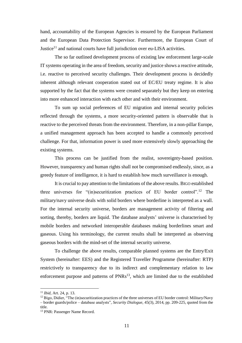hand, accountability of the European Agencies is ensured by the European Parliament and the European Data Protection Supervisor. Furthermore, the European Court of Justice<sup>11</sup> and national courts have full jurisdiction over eu-LISA activities.

The so far outlined development process of existing law enforcement large-scale IT systems operating in the area of freedom, security and justice shows a reactive attitude, i.e. reactive to perceived security challenges. Their development process is decidedly inherent although relevant cooperation stated out of EC/EU treaty regime. It is also supported by the fact that the systems were created separately but they keep on entering into more enhanced interaction with each other and with their environment.

To sum up social preferences of EU migration and internal security policies reflected through the systems, a more security-oriented pattern is observable that is reactive to the perceived threats from the environment. Therefore, in a non-pillar Europe, a unified management approach has been accepted to handle a commonly perceived challenge. For that, information power is used more extensively slowly approaching the existing systems.

This process can be justified from the realist, sovereignty-based position. However, transparency and human rights shall not be compromised endlessly, since, as a greedy feature of intelligence, it is hard to establish how much surveillance is enough.

It is crucial to pay attention to the limitations of the above results. BIGO established three universes for "(in)securitization practices of EU border control".<sup>12</sup> The military/navy universe deals with solid borders where borderline is interpreted as a wall. For the internal security universe, borders are management activity of filtering and sorting, thereby, borders are liquid. The database analysts' universe is characterised by mobile borders and networked interoperable databases making borderlines smart and gaseous. Using his terminology, the current results shall be interpreted as observing gaseous borders with the mind-set of the internal security universe.

To challenge the above results, comparable planned systems are the Entry/Exit System (hereinafter: EES) and the Registered Traveller Programme (hereinafter: RTP) restrictively to transparency due to its indirect and complementary relation to law enforcement purpose and patterns of PNRs<sup>13</sup>, which are limited due to the established

<sup>11</sup> *Ibid,* Art. 24, p. 13.

<sup>&</sup>lt;sup>12</sup> Bigo, Didier, "The (in)securitization practices of the three universes of EU border control: Military/Navy – border guards/police – database analysts", *Security Dialogue,* 45(3), 2014, pp. 209-225, quoted from the title.

<sup>13</sup> PNR: Passenger Name Record.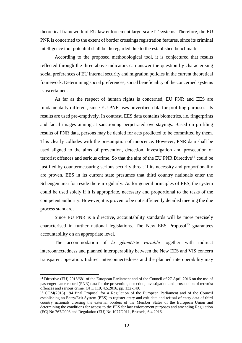theoretical framework of EU law enforcement large-scale IT systems. Therefore, the EU PNR is concerned to the extent of border crossings registration features, since its criminal intelligence tool potential shall be disregarded due to the established benchmark.

According to the proposed methodological tool, it is conjectured that results reflected through the three above indicators can answer the question by characterising social preferences of EU internal security and migration policies in the current theoretical framework. Determining social preferences, social beneficiality of the concerned systems is ascertained.

As far as the respect of human rights is concerned, EU PNR and EES are fundamentally different, since EU PNR uses unverified data for profiling purposes. Its results are used pre-emptively. In contrast, EES data contains biometrics, i.e. fingerprints and facial images aiming at sanctioning perpetrated overstayings. Based on profiling results of PNR data, persons may be denied for acts predicted to be committed by them. This clearly colludes with the presumption of innocence. However, PNR data shall be used aligned to the aims of prevention, detection, investigation and prosecution of terrorist offences and serious crime. So that the aim of the EU PNR Directive $14$  could be justified by countermeasuring serious security threat if its necessity and proportionality are proven. EES in its current state presumes that third country nationals enter the Schengen area for reside there irregularly. As for general principles of EES, the system could be used solely if it is appropriate, necessary and proportional to the tasks of the competent authority. However, it is proven to be not sufficiently detailed meeting the due process standard.

Since EU PNR is a directive, accountability standards will be more precisely characterised in further national legislations. The New EES Proposal<sup>15</sup> guarantees accountability on an appropriate level.

The accommodation of *la géométrie variable* together with indirect interconnectedness and planned interoperability between the New EES and VIS concern transparent operation. Indirect interconnectedness and the planned interoperability may

<sup>&</sup>lt;sup>14</sup> Directive (EU) 2016/681 of the European Parliament and of the Council of 27 April 2016 on the use of passenger name record (PNR) data for the prevention, detection, investigation and prosecution of terrorist offences and serious crime, OJ L 119, 4.5.2016, pp. 132-149.

<sup>&</sup>lt;sup>15</sup> COM(2016) 194 final Proposal for a Regulation of the European Parliament and of the Council establishing an Entry/Exit System (EES) to register entry and exit data and refusal of entry data of third country nationals crossing the external borders of the Member States of the European Union and determining the conditions for access to the EES for law enforcement purposes and amending Regulation (EC) No 767/2008 and Regulation (EU) No 1077/2011, Brussels, 6.4.2016.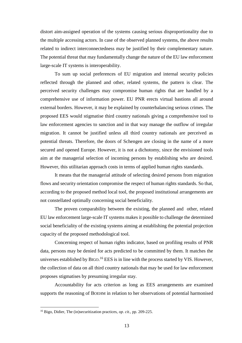distort aim-assigned operation of the systems causing serious disproportionality due to the multiple accessing actors. In case of the observed planned systems, the above results related to indirect interconnectedness may be justified by their complementary nature. The potential threat that may fundamentally change the nature of the EU law enforcement large-scale IT systems is interoperability.

To sum up social preferences of EU migration and internal security policies reflected through the planned and other, related systems, the pattern is clear. The perceived security challenges may compromise human rights that are handled by a comprehensive use of information power. EU PNR erects virtual bastions all around external borders. However, it may be explained by counterbalancing serious crimes. The proposed EES would stigmatise third country nationals giving a comprehensive tool to law enforcement agencies to sanction and in that way manage the outflow of irregular migration. It cannot be justified unless all third country nationals are perceived as potential threats. Therefore, the doors of Schengen are closing in the name of a more secured and opened Europe. However, it is not a dichotomy, since the envisioned tools aim at the managerial selection of incoming persons by establishing who are desired. However, this utilitarian approach costs in terms of applied human rights standards.

It means that the managerial attitude of selecting desired persons from migration flows and security orientation compromise the respect of human rights standards. So that, according to the proposed method local tool, the proposed institutional arrangements are not constellated optimally concerning social beneficiality.

The proven comparability between the existing, the planned and other, related EU law enforcement large-scale IT systems makes it possible to challenge the determined social beneficiality of the existing systems aiming at establishing the potential projection capacity of the proposed methodological tool.

Concerning respect of human rights indicator, based on profiling results of PNR data, persons may be denied for acts predicted to be committed by them. It matches the universes established by BIGO.<sup>16</sup> EES is in line with the process started by VIS. However, the collection of data on all third country nationals that may be used for law enforcement proposes stigmatises by presuming irregular stay.

Accountability for acts criterion as long as EES arrangements are examined supports the reasoning of BOEHM in relation to her observations of potential harmonised

<sup>16</sup> Bigo, Didier, The (in)securitization practices, *op. cit.,* pp. 209-225.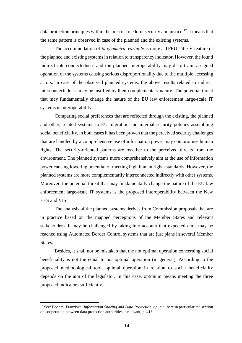data protection principles within the area of freedom, security and justice.<sup>17</sup> It means that the same pattern is observed in case of the planned and the existing systems.

The accommodation of *la géométrie variable* is more a TFEU Title V feature of the planned and existing systems in relation to transparency indicator. However, the found indirect interconnectedness and the planned interoperability may distort aim-assigned operation of the systems causing serious disproportionality due to the multiple accessing actors. In case of the observed planned systems, the above results related to indirect interconnectedness may be justified by their complementary nature. The potential threat that may fundamentally change the nature of the EU law enforcement large-scale IT systems is interoperability.

Comparing social preferences that are reflected through the existing, the planned and other, related systems to EU migration and internal security policies assembling social beneficiality, in both cases it has been proven that the perceived security challenges that are handled by a comprehensive use of information power may compromise human rights. The security-oriented patterns are reactive to the perceived threats from the environment. The planned systems more comprehensively aim at the use of information power causing lowering potential of meeting high human rights standards. However, the planned systems are more complementarily interconnected indirectly with other systems. Moreover, the potential threat that may fundamentally change the nature of the EU law enforcement large-scale IT systems is the proposed interoperability between the New EES and VIS.

The analysis of the planned systems derives from Commission proposals that are in practice based on the mapped perceptions of the Member States and relevant stakeholders. It may be challenged by taking into account that expected aims may be reached using Automated Border Control systems that are just plans in several Member States.

Besides, it shall not be mistaken that the not optimal operation concerning social beneficiality is not the equal to not optimal operation (in general). According to the proposed methodological tool, optimal operation in relation to social beneficiality depends on the aim of the legislator. In this case, optimum means meeting the three proposed indicators sufficiently.

<sup>17</sup> See: Boehm, Franziska, *Information Sharing and Data Protection, op. cit.,* here in particular the section on cooperation between data protection authorities is relevant, p. 418.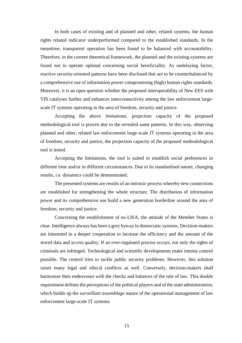In both cases of existing and of planned and other, related systems, the human rights related indicator underperformed compared to the established standards. In the meantime, transparent operation has been found to be balanced with accountability. Therefore, in the current theoretical framework, the planned and the existing systems are found not to operate optimal concerning social beneficiality. As undelaying factor, reactive security-oriented patterns have been disclosed that are to be counterbalanced by a comprehensive use of information power compromising (high) human rights standards. Moreover, it is an open question whether the proposed interoperability of New EES with VIS catalyses further and enhances interconnectivity among the law enforcement largescale IT systems operating in the area of freedom, security and justice.

Accepting the above limitations, projection capacity of the proposed methodological tool is proven due to the revealed same patterns. In this way, observing planned and other, related law enforcement large-scale IT systems operating in the area of freedom, security and justice, the projection capacity of the proposed methodological tool is tested.

Accepting the limitations, the tool is suited to establish social preferences in different time and/or in different circumstances. Due to its standardised nature, changing results, i.e. dynamics could be demonstrated.

The presented systems are results of an intrinsic process whereby new connections are established for strengthening the whole structure. The distribution of information power and its comprehensive use build a new generation borderline around the area of freedom, security and justice.

Concerning the establishment of eu-LISA, the attitude of the Member States is clear. Intelligence always has been a grey byway in democratic systems. Decision-makers are interested in a deeper cooperation to increase the efficiency and the amount of the stored data and access quality. If an over-regulated process occurs, not only the rights of criminals are infringed. Technological and scientific developments make intense control possible. The control tries to tackle public security problems. However, this solution raises many legal and ethical conflicts as well. Conversely, decision-makers shall harmonise their endeavours with the checks and balances of the rule of law. This double requirement defines the perceptions of the political players and of the state administration, which builds up the *surveillant assemblage* nature of the operational management of law enforcement large-scale IT systems.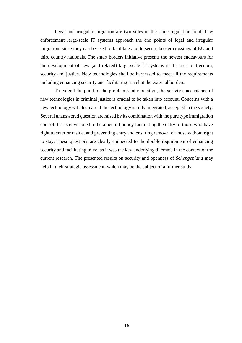Legal and irregular migration are two sides of the same regulation field. Law enforcement large-scale IT systems approach the end points of legal and irregular migration, since they can be used to facilitate and to secure border crossings of EU and third country nationals. The smart borders initiative presents the newest endeavours for the development of new (and related) large-scale IT systems in the area of freedom, security and justice. New technologies shall be harnessed to meet all the requirements including enhancing security and facilitating travel at the external borders.

To extend the point of the problem's interpretation, the society's acceptance of new technologies in criminal justice is crucial to be taken into account. Concerns with a new technology will decrease if the technology is fully integrated, accepted in the society. Several unanswered question are raised by its combination with the pure type immigration control that is envisioned to be a neutral policy facilitating the entry of those who have right to enter or reside, and preventing entry and ensuring removal of those without right to stay. These questions are clearly connected to the double requirement of enhancing security and facilitating travel as it was the key underlying dilemma in the context of the current research. The presented results on security and openness of *Schengenland* may help in their strategic assessment, which may be the subject of a further study.